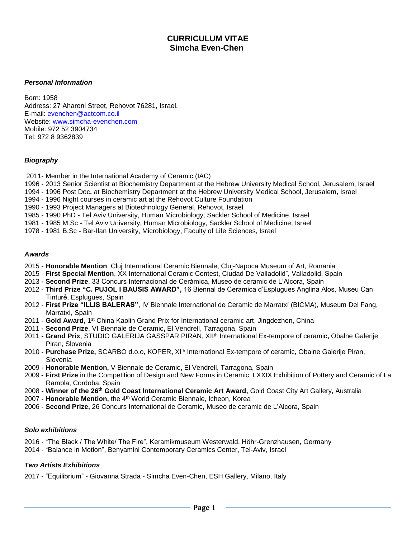# **CURRICULUM VITAE Simcha Even-Chen**

#### *Personal Information*

Born: 1958 Address: 27 Aharoni Street, Rehovot 76281, Israel. E-mail: evenchen@actcom.co.il Website: www.simcha-evenchen.com Mobile: 972 52 3904734 Tel: 972 8 9362839

### *Biography*

- 2011- Member in the International Academy of Ceramic (IAC)
- 1996 2013 Senior Scientist at Biochemistry Department at the Hebrew University Medical School, Jerusalem, Israel
- 1994 1996 Post Doc**.** at Biochemistry Department at the Hebrew University Medical School, Jerusalem, Israel
- 1994 1996 Night courses in ceramic art at the Rehovot Culture Foundation
- 1990 1993 Project Managers at Biotechnology General, Rehovot, Israel
- 1985 1990 PhD **-** Tel Aviv University, Human Microbiology, Sackler School of Medicine, Israel
- 1981 1985 M.Sc Tel Aviv University, Human Microbiology, Sackler School of Medicine, Israel
- 1978 1981 B.Sc Bar-Ilan University, Microbiology, Faculty of Life Sciences, Israel

#### *Awards*

- 2015 **Honorable Mention**, Cluj International Ceramic Biennale, Cluj-Napoca Museum of Art, Romania
- 2015 **First Special Mention**, XX International Ceramic Contest, Ciudad De Valladolid", Valladolid, Spain
- 2013 **- Second Prize**, 33 Concurs Internacional de Ceràmica, Museo de ceramic de L'Alcora, Spain
- 2012 **Third Prize "C. PUJOL I BAUSIS AWARD",** 16 Biennal de Ceramica d'Esplugues Anglina Alos, Museu Can Tinturẻ, Esplugues, Spain
- 2012 **First Prize "ILLIS BALERAS"**, IV Biennale International de Ceramic de Marratxí (BICMA), Museum Del Fang, Marratxí, Spain
- 2011 **- Gold Award**, 1st China Kaolin Grand Prix for International ceramic art, Jingdezhen, China
- 2011 **- Second Prize**, VI Biennale de Ceramic**,** El Vendrell, Tarragona, Spain
- 2011 **- Grand Prix**, STUDIO GALERIJA GASSPAR PIRAN, XIIth International Ex-tempore of ceramic**,** Obalne Galerije Piran, Slovenia
- 2010 **- Purchase Prize,** SCARBO d.o.o, KOPER**,** XIth International Ex-tempore of ceramic**,** Obalne Galerije Piran, Slovenia
- 2009 **- Honorable Mention,** V Biennale de Ceramic**,** El Vendrell, Tarragona, Spain
- 2009 **- First Prize** in the Competition of Design and New Forms in Ceramic, LXXIX Exhibition of Pottery and Ceramic of La Rambla, Cordoba, Spain
- 2008 **- Winner of the 26th Gold Coast International Ceramic Art Award,** Gold Coast City Art Gallery, Australia
- 2007 **- Honorable Mention,** the 4th World Ceramic Biennale, Icheon, Korea
- 2006 **- Second Prize,** 26 Concurs International de Ceramic, Museo de ceramic de L'Alcora, Spain

### *Solo exhibitions*

- 2016 "The Black / The White/ The Fire", Keramikmuseum Westerwald, Höhr-Grenzhausen, Germany
- 2014 "Balance in Motion", Benyamini Contemporary Ceramics Center, Tel-Aviv, Israel

### *Two Artists Exhibitions*

2017 - "Equilibrium" - Giovanna Strada - Simcha Even-Chen, ESH Gallery, Milano, Italy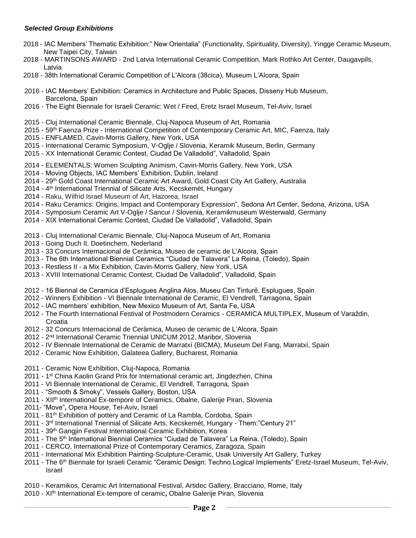### *Selected Group Exhibitions*

- 2018 IAC Members' Thematic Exhibition:" New Orientalia" (Functionality, Spirituality, Diversity), Yingge Ceramic Museum, New Taipei City, Taiwan
- 2018 MARTINSONS AWARD 2nd Latvia International Ceramic Competition, Mark Rothko Art Center, Daugavpils, Latvia
- 2018 38th International Ceramic Competition of L'Alcora (38cica), Museum L'Alcora, Spain
- 2016 IAC Members' Exhibition: Ceramics in Architecture and Public Spaces, Disseny Hub Museum, Barcelona, Spain
- 2016 The Eight Biennale for Israeli Ceramic: Wet / Fired, Eretz Israel Museum, Tel-Aviv, Israel
- 2015 Cluj International Ceramic Biennale, Cluj-Napoca Museum of Art, Romania
- 2015 59th Faenza Prize International Competition of Contemporary Ceramic Art, MIC, Faenza, Italy
- 2015 ENFLAMED, Cavin-Morris Gallery, New York, USA
- 2015 International Ceramic Symposium, V-Oglje / Slovenia, Keramik Museum, Berlin, Germany
- 2015 XX International Ceramic Contest, Ciudad De Valladolid", Valladolid, Spain
- 2014 ELEMENTALS: Women Sculpting Animism, Cavin-Morris Gallery, New York, USA
- 2014 Moving Objects, IAC Members' Exhibition, Dublin, Ireland
- 2014 29<sup>th</sup> Gold Coast International Ceramic Art Award, Gold Coast City Art Gallery, Australia
- 2014 4 th International Triennial of Silicate Arts, Kecskemét, Hungary
- 2014 Raku, Wilfrid Israel Museum of Art, Hazorea, Israel
- 2014 Raku Ceramics: Origins, Impact and Contemporary Expression", Sedona Art Center, Sedona, Arizona, USA
- 2014 Symposium Ceramic Art V-Oglje / Sancur / Slovenia, Keramikmuseum Westerwald, Germany
- 2014 XIX International Ceramic Contest, Ciudad De Valladolid", Valladolid, Spain
- 2013 Cluj International Ceramic Biennale, Cluj-Napoca Museum of Art, Romania
- 2013 Going Duch II, Doetinchem, Nederland
- 2013 33 Concurs Internacional de Ceràmica, Museo de ceramic de L'Alcora, Spain
- 2013 The 6th International Biennial Ceramics "Ciudad de Talavera" La Reina, (Toledo), Spain
- 2013 Restless II a Mix Exhibition, Cavin-Morris Gallery, New York, USA
- 2013 XVIII International Ceramic Contest, Ciudad De Valladolid", Valladolid, Spain
- 2012 16 Biennal de Ceramica d'Esplugues Anglina Alos, Museu Can Tinturẻ, Esplugues, Spain
- 2012 Winners Exhibition VI Biennale International de Ceramic, El Vendrell, Tarragona, Spain
- 2012 IAC members' exhibition, New Mexico Museum of Art, Santa Fe, USA
- 2012 The Fourth International Festival of Postmodern Ceramics CERAMICA MULTIPLEX, Museum of Varaždin, Croatia
- 2012 32 Concurs Internacional de Ceràmica, Museo de ceramic de L'Alcora, Spain
- 2012 2<sup>nd</sup> International Ceramic Triennial UNICUM 2012, Maribor, Slovenia
- 2012 IV Biennale International de Ceramic de Marratxí (BICMA), Museum Del Fang, Marratxí, Spain
- 2012 Ceramic Now Exhibition, Galateea Gallery, Bucharest, Romania
- 2011 Ceramic Now Exhibition, Cluj-Napoca, Romania
- 2011 1 st China Kaolin Grand Prix for International ceramic art, Jingdezhen, China
- 2011 VI Biennale International de Ceramic, El Vendrell, Tarragona, Spain
- 2011 "Smooth & Smoky", Vessels Gallery, Boston, USA
- 2011 XIIth International Ex-tempore of Ceramics, Obalne, Galerije Piran, Slovenia
- 2011- "Move"**,** Opera House, Tel-Aviv, Israel
- 2011 81<sup>th</sup> Exhibition of pottery and Ceramic of La Rambla, Cordoba, Spain
- 2011 3 rd International Triennial of Silicate Arts, Kecskemét, Hungary Them:"Century 21"
- 2011 39th Gangjin Festival International Ceramic Exhibition, Korea
- 2011 The 5<sup>th</sup> International Biennial Ceramics "Ciudad de Talavera" La Reina, (Toledo), Spain
- 2011 CERCO, International Prize of Contemporary Ceramics, Zaragoza, Spain
- 2011 International Mix Exhibition Painting-Sculpture-Ceramic, Usak University Art Gallery, Turkey
- 2011 The 6<sup>th</sup> Biennale for Israeli Ceramic "Ceramic Design: Techno.Logical Implements" Eretz-Israel Museum, Tel-Aviv, Israel
- 2010 Keramikos, Ceramic Art International Festival, Artidec Gallery, Bracciano, Rome, Italy
- 2010 XIth International Ex-tempore of ceramic**,** Obalne Galerije Piran, Slovenia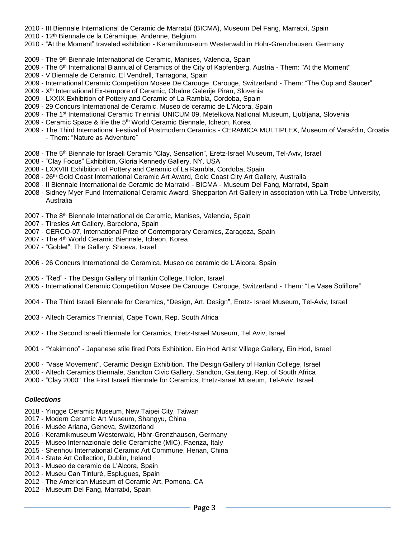- 2010 III Biennale International de Ceramic de Marratxí (BICMA), Museum Del Fang, Marratxí, Spain
- 2010 12<sup>th</sup> Biennale de la Céramique, Andenne, Belgium
- 2010 "At the Moment" traveled exhibition Keramikmuseum Westerwald in Hohr-Grenzhausen, Germany
- 2009 The 9<sup>th</sup> Biennale International de Ceramic, Manises, Valencia, Spain
- 2009 The 6<sup>th</sup> International Biannual of Ceramics of the City of Kapfenberg, Austria Them: "At the Moment"
- 2009 V Biennale de Ceramic, El Vendrell, Tarragona, Spain
- 2009 International Ceramic Competition Mosee De Carouge, Carouge, Switzerland Them: "The Cup and Saucer"
- 2009 Xth International Ex-tempore of Ceramic, Obalne Galerije Piran, Slovenia
- 2009 LXXIX Exhibition of Pottery and Ceramic of La Rambla, Cordoba, Spain
- 2009 29 Concurs International de Ceramic, Museo de ceramic de L'Alcora, Spain
- 2009 The 1st International Ceramic Triennial UNICUM 09, Metelkova National Museum, Ljubljana, Slovenia
- 2009 Ceramic Space & life the 5th World Ceramic Biennale, Icheon, Korea
- 2009 The Third International Festival of Postmodern Ceramics CERAMICA MULTIPLEX, Museum of Varaždin, Croatia - Them: "Nature as Adventure"
- 2008 The 5<sup>th</sup> Biennale for Israeli Ceramic "Clay, Sensation", Eretz-Israel Museum, Tel-Aviv, Israel
- 2008 "Clay Focus" Exhibition, Gloria Kennedy Gallery, NY, USA
- 2008 LXXVIII Exhibition of Pottery and Ceramic of La Rambla, Cordoba, Spain
- 2008 26th Gold Coast International Ceramic Art Award, Gold Coast City Art Gallery, Australia
- 2008 II Biennale International de Ceramic de Marratxí BICMA Museum Del Fang, Marratxí, Spain
- 2008 Sidney Myer Fund International Ceramic Award, Shepparton Art Gallery in association with La Trobe University, Australia
- 2007 The 8<sup>th</sup> Biennale International de Ceramic, Manises, Valencia, Spain
- 2007 Tiresies Art Gallery, Barcelona, Spain
- 2007 CERCO-07, International Prize of Contemporary Ceramics, Zaragoza, Spain
- 2007 The 4<sup>th</sup> World Ceramic Biennale, Icheon, Korea
- 2007 "Goblet", The Gallery. Shoeva, Israel
- 2006 26 Concurs International de Ceramica, Museo de ceramic de L'Alcora, Spain
- 2005 "Red" The Design Gallery of Hankin College, Holon, Israel
- 2005 International Ceramic Competition Mosee De Carouge, Carouge, Switzerland Them: "Le Vase Soliflore"
- 2004 The Third Israeli Biennale for Ceramics, "Design, Art, Design", Eretz- Israel Museum, Tel-Aviv, Israel
- 2003 Altech Ceramics Triennial, Cape Town, Rep. South Africa
- 2002 The Second Israeli Biennale for Ceramics, Eretz-Israel Museum, Tel Aviv, Israel
- 2001 "Yakimono" Japanese stile fired Pots Exhibition. Ein Hod Artist Village Gallery, Ein Hod, Israel
- 2000 "Vase Movement", Ceramic Design Exhibition. The Design Gallery of Hankin College, Israel
- 2000 Altech Ceramics Biennale, Sandton Civic Gallery, Sandton, Gauteng, Rep. of South Africa
- 2000 "Clay 2000" The First Israeli Biennale for Ceramics, Eretz-Israel Museum, Tel-Aviv, Israel

## *Collections*

- 2018 Yingge Ceramic Museum, New Taipei City, Taiwan
- 2017 Modern Ceramic Art Museum, Shangyu, China
- 2016 Musée Ariana, Geneva, Switzerland
- 2016 Keramikmuseum Westerwald, Höhr-Grenzhausen, Germany
- 2015 Museo Internazionale delle Ceramiche (MIC), Faenza, Italy
- 2015 Shenhou International Ceramic Art Commune, Henan, China
- 2014 State Art Collection, Dublin, Ireland
- 2013 Museo de ceramic de L'Alcora, Spain
- 2012 Museu Can Tinturẻ, Esplugues, Spain
- 2012 The American Museum of Ceramic Art, Pomona, CA
- 2012 Museum Del Fang, Marratxí, Spain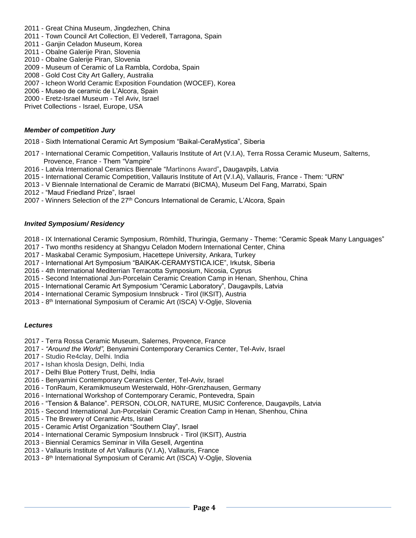- 2011 Great China Museum, Jingdezhen, China
- 2011 Town Council Art Collection, El Vederell, Tarragona, Spain
- 2011 Ganjin Celadon Museum, Korea
- 2011 Obalne Galerije Piran, Slovenia
- 2010 Obalne Galerije Piran, Slovenia
- 2009 Museum of Ceramic of La Rambla, Cordoba, Spain
- 2008 Gold Cost City Art Gallery, Australia
- 2007 Icheon World Ceramic Exposition Foundation (WOCEF), Korea
- 2006 Museo de ceramic de L'Alcora, Spain
- 2000 Eretz-Israel Museum Tel Aviv, Israel
- Privet Collections Israel, Europe, USA

## *Member of competition Jury*

- 2018 Sixth International Ceramic Art Symposium "Baikal-CeraMystica", Siberia
- 2017 International Ceramic Competition, Vallauris Institute of Art (V.I.A), Terra Rossa Ceramic Museum, Salterns, Provence, France - Them "Vampire"
- 2016 Latvia International Ceramics Biennale "Martinons Award"**,** Daugavpils, Latvia
- 2015 International Ceramic Competition, Vallauris Institute of Art (V.I.A), Vallauris, France Them: "URN"
- 2013 V Biennale International de Ceramic de Marratxi (BICMA), Museum Del Fang, Marratxi, Spain
- 2012 "Maud Friedland Prize", Israel
- 2007 Winners Selection of the 27<sup>th</sup> Concurs International de Ceramic, L'Alcora, Spain

## *Invited Symposium/ Residency*

- 2018 IX International Ceramic Symposium, Römhild, Thuringia, Germany Theme: "Ceramic Speak Many Languages"
- 2017 Two months residency at Shangyu Celadon Modern International Center, China
- 2017 Maskabal Ceramic Symposium, Hacettepe University, Ankara, Turkey
- 2017 International Art Symposium "BAIKAK-CERAMYSTICA.ICE", Irkutsk, Siberia
- 2016 4th International Mediterrian Terracotta Symposium, Nicosia, Cyprus
- 2015 Second International Jun-Porcelain Ceramic Creation Camp in Henan, Shenhou, China
- 2015 International Ceramic Art Symposium "Ceramic Laboratory", Daugavpils, Latvia
- 2014 International Ceramic Symposium Innsbruck Tirol (IKSIT), Austria
- 2013 8<sup>th</sup> International Symposium of Ceramic Art (ISCA) V-Oglje, Slovenia

## *Lectures*

- 2017 Terra Rossa Ceramic Museum, Salernes, Provence, France
- 2017 *"Around the World",* Benyamini Contemporary Ceramics Center, Tel-Aviv, Israel
- 2017 Studio Re4clay, Delhi. India
- 2017 **-** Ishan khosla Design, Delhi, India
- 2017 Delhi Blue Pottery Trust, Delhi, India
- 2016 Benyamini Contemporary Ceramics Center, Tel-Aviv, Israel
- 2016 TonRaum, Keramikmuseum Westerwald, Höhr-Grenzhausen, Germany
- 2016 International Workshop of Contemporary Ceramic, Pontevedra, Spain
- 2016 "Tension & Balance". PERSON, COLOR, NATURE, MUSIC Conference, Daugavpils, Latvia
- 2015 Second International Jun-Porcelain Ceramic Creation Camp in Henan, Shenhou, China
- 2015 The Brewery of Ceramic Arts, Israel
- 2015 Ceramic Artist Organization "Southern Clay", Israel
- 2014 International Ceramic Symposium Innsbruck Tirol (IKSIT), Austria
- 2013 Biennial Ceramics Seminar in Villa Gesell, Argentina
- 2013 Vallauris Institute of Art Vallauris (V.I.A), Vallauris, France
- 2013 8<sup>th</sup> International Symposium of Ceramic Art (ISCA) V-Oglje, Slovenia